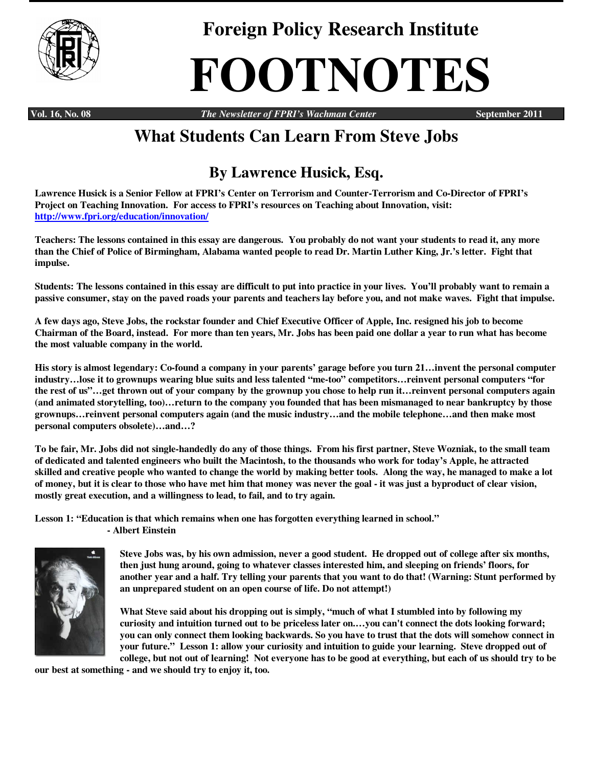

**Foreign Policy Research Institute** 

## **FOOTNOTES**

**Vol. 16, No. 08** *The Newsletter of FPRI's Wachman Center* **September 2011** 

## **What Students Can Learn From Steve Jobs**

## **By Lawrence Husick, Esq.**

**Lawrence Husick is a Senior Fellow at FPRI's Center on Terrorism and Counter-Terrorism and Co-Director of FPRI's Project on Teaching Innovation. For access to FPRI's resources on Teaching about Innovation, visit: http://www.fpri.org/education/innovation/**

**Teachers: The lessons contained in this essay are dangerous. You probably do not want your students to read it, any more than the Chief of Police of Birmingham, Alabama wanted people to read Dr. Martin Luther King, Jr.'s letter. Fight that impulse.** 

**Students: The lessons contained in this essay are difficult to put into practice in your lives. You'll probably want to remain a passive consumer, stay on the paved roads your parents and teachers lay before you, and not make waves. Fight that impulse.** 

**A few days ago, Steve Jobs, the rockstar founder and Chief Executive Officer of Apple, Inc. resigned his job to become Chairman of the Board, instead. For more than ten years, Mr. Jobs has been paid one dollar a year to run what has become the most valuable company in the world.** 

**His story is almost legendary: Co-found a company in your parents' garage before you turn 21…invent the personal computer industry…lose it to grownups wearing blue suits and less talented "me-too" competitors…reinvent personal computers "for the rest of us"…get thrown out of your company by the grownup you chose to help run it…reinvent personal computers again (and animated storytelling, too)…return to the company you founded that has been mismanaged to near bankruptcy by those grownups…reinvent personal computers again (and the music industry…and the mobile telephone…and then make most personal computers obsolete)…and…?** 

**To be fair, Mr. Jobs did not single-handedly do any of those things. From his first partner, Steve Wozniak, to the small team of dedicated and talented engineers who built the Macintosh, to the thousands who work for today's Apple, he attracted skilled and creative people who wanted to change the world by making better tools. Along the way, he managed to make a lot of money, but it is clear to those who have met him that money was never the goal - it was just a byproduct of clear vision, mostly great execution, and a willingness to lead, to fail, and to try again.** 

**Lesson 1: "Education is that which remains when one has forgotten everything learned in school." - Albert Einstein** 



**Steve Jobs was, by his own admission, never a good student. He dropped out of college after six months, then just hung around, going to whatever classes interested him, and sleeping on friends' floors, for another year and a half. Try telling your parents that you want to do that! (Warning: Stunt performed by an unprepared student on an open course of life. Do not attempt!)** 

**What Steve said about his dropping out is simply, "much of what I stumbled into by following my curiosity and intuition turned out to be priceless later on.…you can't connect the dots looking forward; you can only connect them looking backwards. So you have to trust that the dots will somehow connect in your future." Lesson 1: allow your curiosity and intuition to guide your learning. Steve dropped out of college, but not out of learning! Not everyone has to be good at everything, but each of us should try to be** 

**our best at something - and we should try to enjoy it, too.**